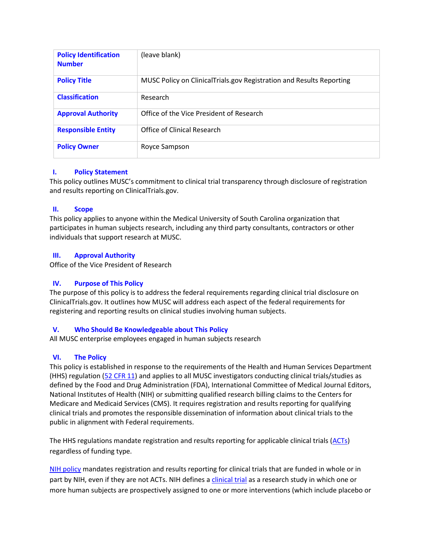| <b>Policy Identification</b><br><b>Number</b> | (leave blank)                                                        |
|-----------------------------------------------|----------------------------------------------------------------------|
| <b>Policy Title</b>                           | MUSC Policy on ClinicalTrials.gov Registration and Results Reporting |
| <b>Classification</b>                         | Research                                                             |
| <b>Approval Authority</b>                     | Office of the Vice President of Research                             |
| <b>Responsible Entity</b>                     | Office of Clinical Research                                          |
| <b>Policy Owner</b>                           | Royce Sampson                                                        |

# **I. Policy Statement**

This policy outlines MUSC's commitment to clinical trial transparency through disclosure of registration and results reporting on ClinicalTrials.gov.

### **II. Scope**

This policy applies to anyone within the Medical University of South Carolina organization that participates in human subjects research, including any third party consultants, contractors or other individuals that support research at MUSC.

### **III. Approval Authority**

Office of the Vice President of Research

# **IV. Purpose of This Policy**

The purpose of this policy is to address the federal requirements regarding clinical trial disclosure on ClinicalTrials.gov. It outlines how MUSC will address each aspect of the federal requirements for registering and reporting results on clinical studies involving human subjects.

# **V. Who Should Be Knowledgeable about This Policy**

All MUSC enterprise employees engaged in human subjects research

# **VI. The Policy**

This policy is established in response to the requirements of the Health and Human Services Department (HHS) regulation [\(52 CFR 11\)](https://www.federalregister.gov/documents/2016/09/21/2016-22129/clinical-trials-registration-and-results-information-submission#h-260) and the NIH Policy https://www.federalregister.gov/documents/2016/09/21/2016-22379/nih-policy-on-the-dissemination-of-nih-funded-clinical-trial-information.) and applies to all MUSC investigators conducting clinical trials/studies as defined by the Food and Drug Administration (FDA), International Committee of Medical Journal Editors, National Institutes of Health (NIH) or submitting qualified research billing claims to the Centers for Medicare and Medicaid Services (CMS). It requires registration and results reporting for qualifying clinical trials and promotes the responsible dissemination of information about clinical trials to the public in alignment with Federal requirements.

The HHS regulations mandate registration and results reporting for applicable clinical trials [\(ACTs\)](https://clinicaltrials.gov/ct2/manage-recs/fdaaa#WhichTrialsMustBeRegistered and checklist.) regardless of funding type.

[NIH policy](https://osp.od.nih.gov/clinical-research/clinical-trials/) mandates registration and results reporting for clinical trials that are funded in whole or in part by NIH, even if they are not ACTs. NIH defines [a clinical trial](http://academicdepartments.musc.edu/research/orsp/NIH%20Clinical%20Trial%20Guidance) as a research study in which one or more human subjects are prospectively assigned to one or more interventions (which include placebo or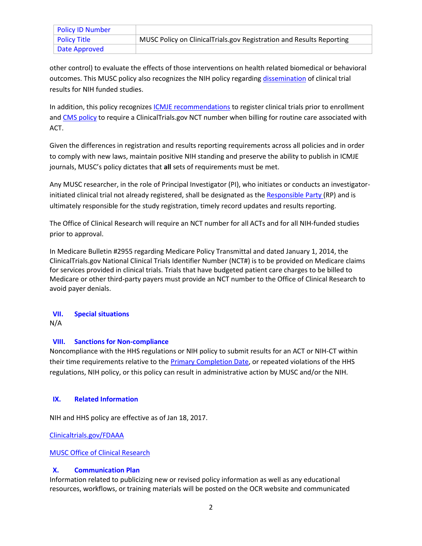| <b>Policy ID Number</b> |                                                                      |
|-------------------------|----------------------------------------------------------------------|
| <b>Policy Title</b>     | MUSC Policy on ClinicalTrials.gov Registration and Results Reporting |
| Date Approved           |                                                                      |

other control) to evaluate the effects of those interventions on health related biomedical or behavioral outcomes. This MUSC policy also recognizes the NIH policy regardin[g dissemination](https://grants.nih.gov/grants/how-to-apply-application-guide/forms-e/general/g.500-phs-human-subjects-and-clinical-trials-information.htm#4.7 regarding dissemination.) of clinical trial results for NIH funded studies.

In addition, this policy recognizes [ICMJE recommendations](http://www.icmje.org/recommendations/browse/publishing-and-editorial-issues/clinical-trial-registration.html) to register clinical trials prior to enrollment and [CMS policy](https://www.cms.gov/Medicare/Coverage/Coverage-with-Evidence-Development/Downloads/Mandatory-Clinical-Trial-Identifier-Number-QsAs.pdf) to require a ClinicalTrials.gov NCT number when billing for routine care associated with ACT.

Given the differences in registration and results reporting requirements across all policies and in order to comply with new laws, maintain positive NIH standing and preserve the ability to publish in ICMJE journals, MUSC's policy dictates that **all** sets of requirements must be met.

Any MUSC researcher, in the role of Principal Investigator (PI), who initiates or conducts an investigator-initiated clinical trial not already registered, shall be designated as the [Responsible Party \(](file:///C:/Users/Whitney%20Lesch/Desktop/(https:/clinicaltrials.gov/ct2/manage-recs/fdaaa%23WhoIsResponsibleForRegistering)RP) and is ultimately responsible for the study registration, timely record updates and results reporting.

The Office of Clinical Research will require an NCT number for all ACTs and for all NIH-funded studies prior to approval.

In Medicare Bulletin #2955 regarding Medicare Policy Transmittal and dated January 1, 2014, the ClinicalTrials.gov National Clinical Trials Identifier Number (NCT#) is to be provided on Medicare claims for services provided in clinical trials. Trials that have budgeted patient care charges to be billed to Medicare or other third-party payers must provide an NCT number to the Office of Clinical Research to avoid payer denials.

# **VII. Special situations**

N/A

# **VIII. Sanctions for Non-compliance**

Noncompliance with the HHS regulations or NIH policy to submit results for an ACT or NIH-CT within their time requirements relative to the **Primary Completion Date**, or repeated violations of the HHS regulations, NIH policy, or this policy can result in administrative action by MUSC and/or the NIH.

#### **IX. Related Information**

NIH and HHS policy are effective as of Jan 18, 2017.

[Clinicaltrials.gov/FDAAA](https://clinicaltrials.gov/ct2/manage-recs/fdaaa#OtherFDAAA801Requirements)

MUSC Office of Clinical Research

#### **X. Communication Plan**

Information related to publicizing new or revised policy information as well as any educational resources, workflows, or training materials will be posted on the OCR website and communicated